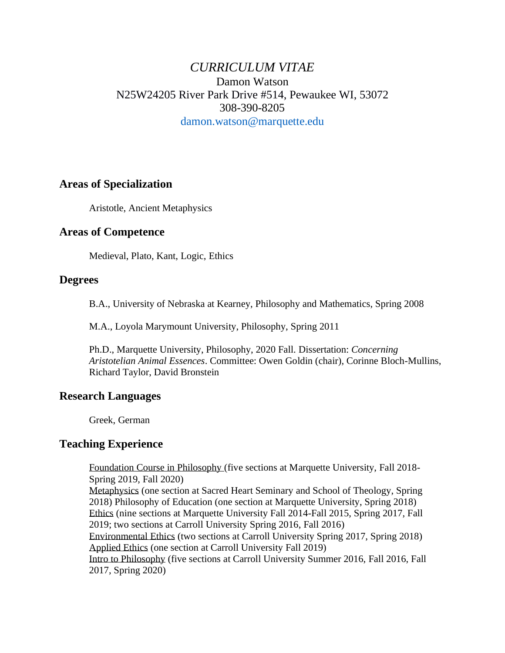# *CURRICULUM VITAE* Damon Watson N25W24205 River Park Drive #514, Pewaukee WI, 53072 308-390-8205 damon.watson@marquette.edu

# **Areas of Specialization**

Aristotle, Ancient Metaphysics

# **Areas of Competence**

Medieval, Plato, Kant, Logic, Ethics

#### **Degrees**

B.A., University of Nebraska at Kearney, Philosophy and Mathematics, Spring 2008

M.A., Loyola Marymount University, Philosophy, Spring 2011

Ph.D., Marquette University, Philosophy, 2020 Fall. Dissertation: *Concerning Aristotelian Animal Essences*. Committee: Owen Goldin (chair), Corinne Bloch-Mullins, Richard Taylor, David Bronstein

# **Research Languages**

Greek, German

# **Teaching Experience**

Foundation Course in Philosophy (five sections at Marquette University, Fall 2018- Spring 2019, Fall 2020)

Metaphysics (one section at Sacred Heart Seminary and School of Theology, Spring 2018) Philosophy of Education (one section at Marquette University, Spring 2018) Ethics (nine sections at Marquette University Fall 2014-Fall 2015, Spring 2017, Fall 2019; two sections at Carroll University Spring 2016, Fall 2016)

Environmental Ethics (two sections at Carroll University Spring 2017, Spring 2018) Applied Ethics (one section at Carroll University Fall 2019)

Intro to Philosophy (five sections at Carroll University Summer 2016, Fall 2016, Fall 2017, Spring 2020)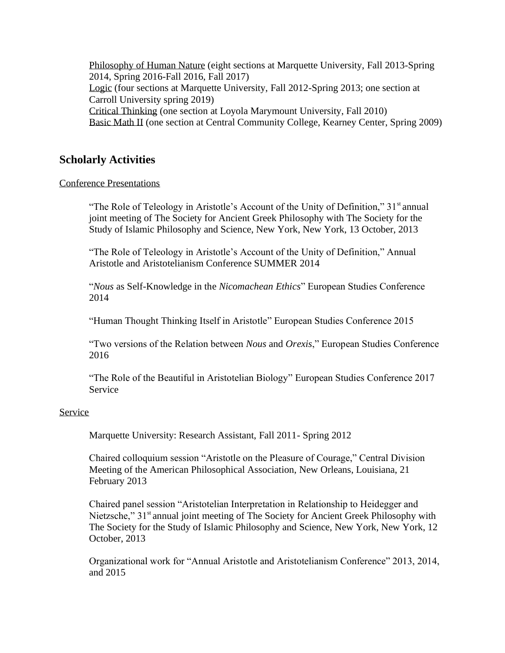Philosophy of Human Nature (eight sections at Marquette University, Fall 2013-Spring 2014, Spring 2016-Fall 2016, Fall 2017) Logic (four sections at Marquette University, Fall 2012-Spring 2013; one section at Carroll University spring 2019) Critical Thinking (one section at Loyola Marymount University, Fall 2010) Basic Math II (one section at Central Community College, Kearney Center, Spring 2009)

# **Scholarly Activities**

Conference Presentations

"The Role of Teleology in Aristotle's Account of the Unity of Definition,"  $31<sup>st</sup>$  annual joint meeting of The Society for Ancient Greek Philosophy with The Society for the Study of Islamic Philosophy and Science, New York, New York, 13 October, 2013

"The Role of Teleology in Aristotle's Account of the Unity of Definition," Annual Aristotle and Aristotelianism Conference SUMMER 2014

"*Nous* as Self-Knowledge in the *Nicomachean Ethics*" European Studies Conference 2014

"Human Thought Thinking Itself in Aristotle" European Studies Conference 2015

"Two versions of the Relation between *Nous* and *Orexis*," European Studies Conference 2016

"The Role of the Beautiful in Aristotelian Biology" European Studies Conference 2017 Service

#### Service

Marquette University: Research Assistant, Fall 2011- Spring 2012

Chaired colloquium session "Aristotle on the Pleasure of Courage," Central Division Meeting of the American Philosophical Association, New Orleans, Louisiana, 21 February 2013

Chaired panel session "Aristotelian Interpretation in Relationship to Heidegger and Nietzsche," 31<sup>st</sup> annual joint meeting of The Society for Ancient Greek Philosophy with The Society for the Study of Islamic Philosophy and Science, New York, New York, 12 October, 2013

Organizational work for "Annual Aristotle and Aristotelianism Conference" 2013, 2014, and 2015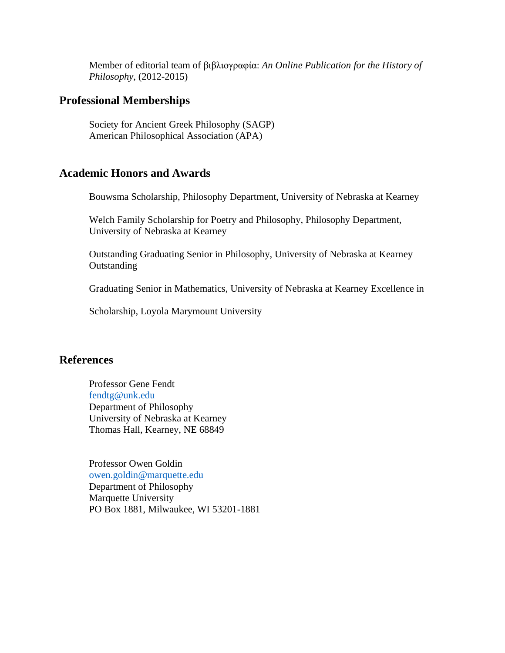Member of editorial team of βιβλιογραφία: *An Online Publication for the History of Philosophy*, (2012-2015)

# **Professional Memberships**

Society for Ancient Greek Philosophy (SAGP) American Philosophical Association (APA)

#### **Academic Honors and Awards**

Bouwsma Scholarship, Philosophy Department, University of Nebraska at Kearney

Welch Family Scholarship for Poetry and Philosophy, Philosophy Department, University of Nebraska at Kearney

Outstanding Graduating Senior in Philosophy, University of Nebraska at Kearney **Outstanding** 

Graduating Senior in Mathematics, University of Nebraska at Kearney Excellence in

Scholarship, Loyola Marymount University

#### **References**

Professor Gene Fendt fendtg@unk.edu Department of Philosophy University of Nebraska at Kearney Thomas Hall, Kearney, NE 68849

Professor Owen Goldin owen.goldin@marquette.edu Department of Philosophy Marquette University PO Box 1881, Milwaukee, WI 53201-1881